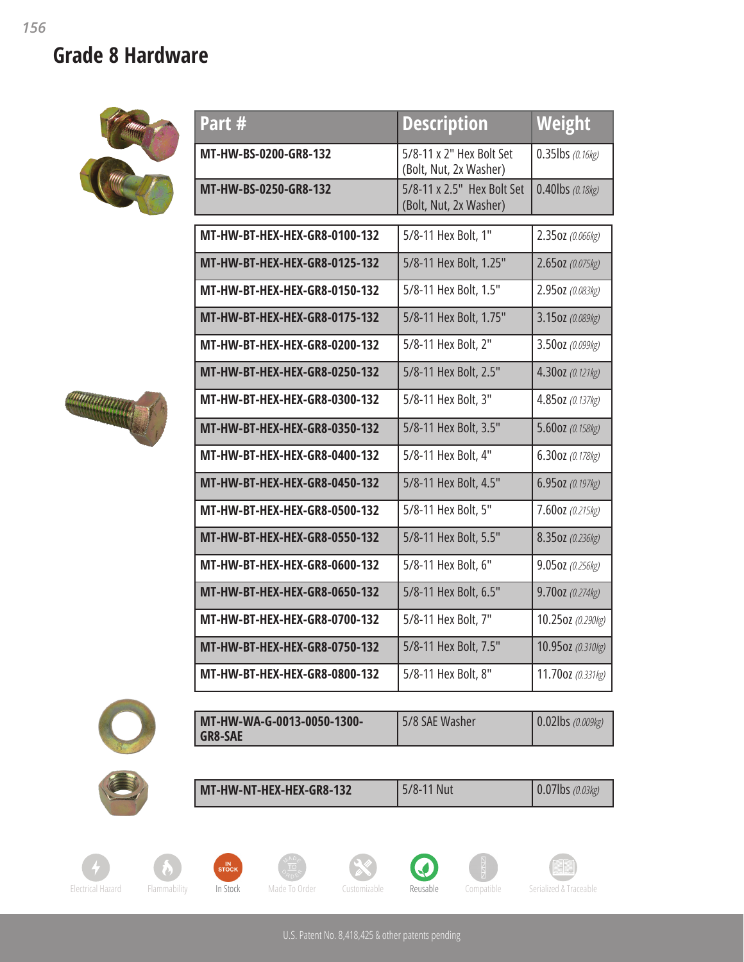## **Grade 8 Hardware**





| Part #                               | <b>Description</b>                                   | Weight              |
|--------------------------------------|------------------------------------------------------|---------------------|
| MT-HW-BS-0200-GR8-132                | 5/8-11 x 2" Hex Bolt Set<br>(Bolt, Nut, 2x Washer)   | $0.35$ lbs (0.16kg) |
| MT-HW-BS-0250-GR8-132                | 5/8-11 x 2.5" Hex Bolt Set<br>(Bolt, Nut, 2x Washer) | 0.40lbs (0.18kg)    |
| MT-HW-BT-HEX-HEX-GR8-0100-132        | 5/8-11 Hex Bolt, 1"                                  | 2.350Z (0.066kg)    |
| <b>MT-HW-BT-HEX-HEX-GR8-0125-132</b> | 5/8-11 Hex Bolt, 1.25"                               | 2.650Z (0.075kg)    |
| <b>MT-HW-BT-HEX-HEX-GR8-0150-132</b> | 5/8-11 Hex Bolt, 1.5"                                | 2.950Z (0.083kg)    |
| <b>MT-HW-BT-HEX-HEX-GR8-0175-132</b> | 5/8-11 Hex Bolt, 1.75"                               | 3.150Z (0.089kg)    |
| MT-HW-BT-HEX-HEX-GR8-0200-132        | 5/8-11 Hex Bolt, 2"                                  | 3.50oz (0.099kg)    |
| <b>MT-HW-BT-HEX-HEX-GR8-0250-132</b> | 5/8-11 Hex Bolt, 2.5"                                | 4.30oz (0.121kg)    |
| MT-HW-BT-HEX-HEX-GR8-0300-132        | 5/8-11 Hex Bolt, 3"                                  | 4.850Z (0.137kg)    |
| MT-HW-BT-HEX-HEX-GR8-0350-132        | 5/8-11 Hex Bolt, 3.5"                                | 5.60oz (0.158kg)    |
| MT-HW-BT-HEX-HEX-GR8-0400-132        | 5/8-11 Hex Bolt, 4"                                  | 6.30oz (0.178kg)    |
| MT-HW-BT-HEX-HEX-GR8-0450-132        | 5/8-11 Hex Bolt, 4.5"                                | 6.950Z (0.197kg)    |
| MT-HW-BT-HEX-HEX-GR8-0500-132        | 5/8-11 Hex Bolt, 5"                                  | 7.60oz (0.215kg)    |
| <b>MT-HW-BT-HEX-HEX-GR8-0550-132</b> | 5/8-11 Hex Bolt, 5.5"                                | 8.350Z (0.236kg)    |
| <b>MT-HW-BT-HEX-HEX-GR8-0600-132</b> | 5/8-11 Hex Bolt, 6"                                  | 9.05oz (0.256kg)    |
| <b>MT-HW-BT-HEX-HEX-GR8-0650-132</b> | 5/8-11 Hex Bolt, 6.5"                                | 9.70oz (0.274kg)    |
| <b>MT-HW-BT-HEX-HEX-GR8-0700-132</b> | 5/8-11 Hex Bolt, 7"                                  | 10.25oz (0.290kg)   |
| MT-HW-BT-HEX-HEX-GR8-0750-132        | 5/8-11 Hex Bolt, 7.5"                                | 10.95oz (0.310kg)   |
| MT-HW-BT-HEX-HEX-GR8-0800-132        | 5/8-11 Hex Bolt, 8"                                  | 11.70oz (0.331kg)   |



| MT-HW-WA-G-0013-0050-1300- | 5/8 SAE Washer | $\vert 0.02$ lbs (0.009kg) |
|----------------------------|----------------|----------------------------|
| <b>GR8-SAE</b>             |                |                            |



|--|













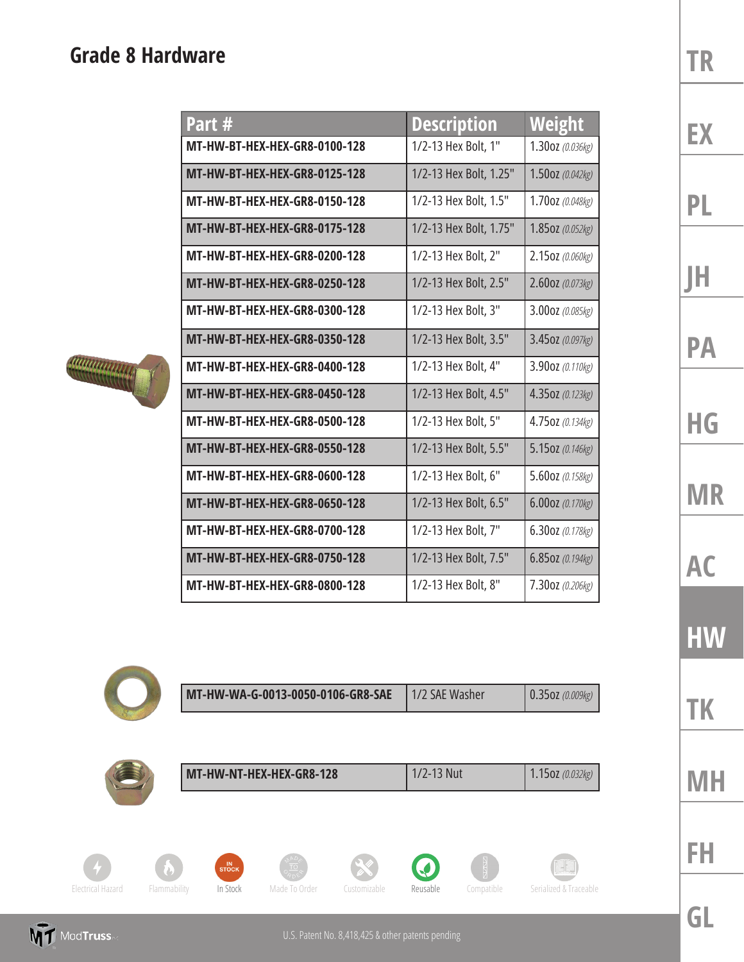## **Grade 8 Hardware**

| Part #                               | <b>Description</b>     | Weight           |
|--------------------------------------|------------------------|------------------|
| MT-HW-BT-HEX-HEX-GR8-0100-128        | 1/2-13 Hex Bolt, 1"    | 1.300Z (0.036kg) |
| <b>MT-HW-BT-HEX-HEX-GR8-0125-128</b> | 1/2-13 Hex Bolt, 1.25" | 1.500Z (0.042kg) |
| MT-HW-BT-HEX-HEX-GR8-0150-128        | 1/2-13 Hex Bolt, 1.5"  | 1.70oz (0.048kg) |
| MT-HW-BT-HEX-HEX-GR8-0175-128        | 1/2-13 Hex Bolt, 1.75" | 1.850Z (0.052kg) |
| MT-HW-BT-HEX-HEX-GR8-0200-128        | 1/2-13 Hex Bolt, 2"    | 2.150Z (0.060kg) |
| <b>MT-HW-BT-HEX-HEX-GR8-0250-128</b> | 1/2-13 Hex Bolt, 2.5"  | 2.600Z (0.073kg) |
| MT-HW-BT-HEX-HEX-GR8-0300-128        | 1/2-13 Hex Bolt, 3"    | 3.00oz (0.085kg) |
| <b>MT-HW-BT-HEX-HEX-GR8-0350-128</b> | 1/2-13 Hex Bolt, 3.5"  | 3.450Z (0.097kg) |
| MT-HW-BT-HEX-HEX-GR8-0400-128        | 1/2-13 Hex Bolt, 4"    | 3.90oz (0.110kg) |
| MT-HW-BT-HEX-HEX-GR8-0450-128        | 1/2-13 Hex Bolt, 4.5"  | 4.350Z (0.123kg) |
| MT-HW-BT-HEX-HEX-GR8-0500-128        | 1/2-13 Hex Bolt, 5"    | 4.750Z (0.134kg) |
| MT-HW-BT-HEX-HEX-GR8-0550-128        | 1/2-13 Hex Bolt, 5.5"  | 5.150Z (0.146kg) |
| MT-HW-BT-HEX-HEX-GR8-0600-128        | 1/2-13 Hex Bolt, 6"    | 5.60oz (0.158kg) |
| MT-HW-BT-HEX-HEX-GR8-0650-128        | 1/2-13 Hex Bolt, 6.5"  | 6.00oz (0.170kg) |
| MT-HW-BT-HEX-HEX-GR8-0700-128        | 1/2-13 Hex Bolt, 7"    | 6.30oz (0.178kg) |
| MT-HW-BT-HEX-HEX-GR8-0750-128        | 1/2-13 Hex Bolt, 7.5"  | 6.850Z (0.194kg) |
| <b>MT-HW-BT-HEX-HEX-GR8-0800-128</b> | 1/2-13 Hex Bolt, 8"    | 7.30oz (0.206kg) |





| MT-HW-WA-G-0013-0050-0106-GR8-SAE | 11/2 SAF Washer | $\vert 0.35$ OZ (0.009kg) |
|-----------------------------------|-----------------|---------------------------|
|                                   |                 |                           |



**MT** ModTruss

|                          |              |             | MT-HW-NT-HEX-HEX-GR8-128 |              | 1/2-13 Nut |            | 1.150Z (0.032kg)       |
|--------------------------|--------------|-------------|--------------------------|--------------|------------|------------|------------------------|
|                          |              |             |                          |              |            |            |                        |
|                          |              | IN<br>STOCK |                          |              |            |            |                        |
| <b>Electrical Hazard</b> | Flammability | In Stock    | Made To Order            | Customizable | Reusable   | Compatible | Serialized & Traceable |

**TR**

**EX**

## **PL JH**

**PA**

```
HG
```
**MR**

**AC**

**HW**

**MH**

**TK**

**FH**

**GL**